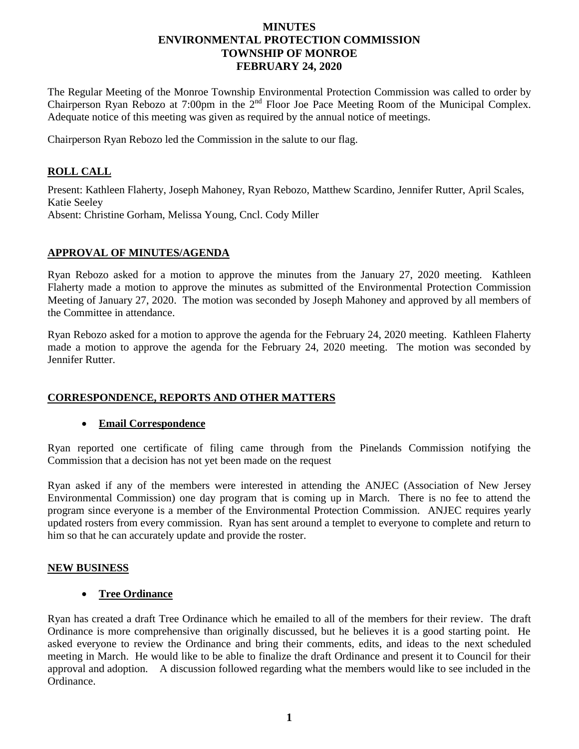# **MINUTES ENVIRONMENTAL PROTECTION COMMISSION TOWNSHIP OF MONROE FEBRUARY 24, 2020**

The Regular Meeting of the Monroe Township Environmental Protection Commission was called to order by Chairperson Ryan Rebozo at 7:00pm in the 2<sup>nd</sup> Floor Joe Pace Meeting Room of the Municipal Complex. Adequate notice of this meeting was given as required by the annual notice of meetings.

Chairperson Ryan Rebozo led the Commission in the salute to our flag.

# **ROLL CALL**

Present: Kathleen Flaherty, Joseph Mahoney, Ryan Rebozo, Matthew Scardino, Jennifer Rutter, April Scales, Katie Seeley Absent: Christine Gorham, Melissa Young, Cncl. Cody Miller

### **APPROVAL OF MINUTES/AGENDA**

Ryan Rebozo asked for a motion to approve the minutes from the January 27, 2020 meeting. Kathleen Flaherty made a motion to approve the minutes as submitted of the Environmental Protection Commission Meeting of January 27, 2020. The motion was seconded by Joseph Mahoney and approved by all members of the Committee in attendance.

Ryan Rebozo asked for a motion to approve the agenda for the February 24, 2020 meeting. Kathleen Flaherty made a motion to approve the agenda for the February 24, 2020 meeting. The motion was seconded by Jennifer Rutter.

### **CORRESPONDENCE, REPORTS AND OTHER MATTERS**

### **Email Correspondence**

Ryan reported one certificate of filing came through from the Pinelands Commission notifying the Commission that a decision has not yet been made on the request

Ryan asked if any of the members were interested in attending the ANJEC (Association of New Jersey Environmental Commission) one day program that is coming up in March. There is no fee to attend the program since everyone is a member of the Environmental Protection Commission. ANJEC requires yearly updated rosters from every commission. Ryan has sent around a templet to everyone to complete and return to him so that he can accurately update and provide the roster.

### **NEW BUSINESS**

### **Tree Ordinance**

Ryan has created a draft Tree Ordinance which he emailed to all of the members for their review. The draft Ordinance is more comprehensive than originally discussed, but he believes it is a good starting point. He asked everyone to review the Ordinance and bring their comments, edits, and ideas to the next scheduled meeting in March. He would like to be able to finalize the draft Ordinance and present it to Council for their approval and adoption. A discussion followed regarding what the members would like to see included in the Ordinance.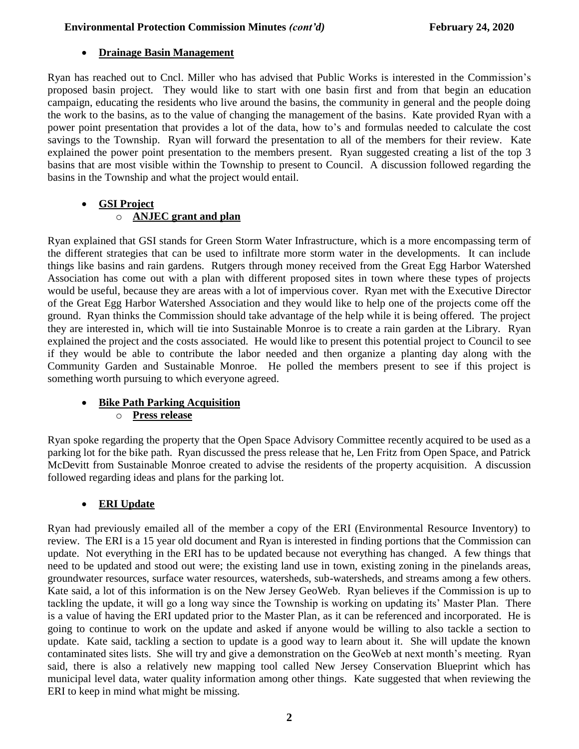# **Drainage Basin Management**

Ryan has reached out to Cncl. Miller who has advised that Public Works is interested in the Commission's proposed basin project. They would like to start with one basin first and from that begin an education campaign, educating the residents who live around the basins, the community in general and the people doing the work to the basins, as to the value of changing the management of the basins. Kate provided Ryan with a power point presentation that provides a lot of the data, how to's and formulas needed to calculate the cost savings to the Township. Ryan will forward the presentation to all of the members for their review. Kate explained the power point presentation to the members present. Ryan suggested creating a list of the top 3 basins that are most visible within the Township to present to Council. A discussion followed regarding the basins in the Township and what the project would entail.

# **GSI Project**

# o **ANJEC grant and plan**

Ryan explained that GSI stands for Green Storm Water Infrastructure, which is a more encompassing term of the different strategies that can be used to infiltrate more storm water in the developments. It can include things like basins and rain gardens. Rutgers through money received from the Great Egg Harbor Watershed Association has come out with a plan with different proposed sites in town where these types of projects would be useful, because they are areas with a lot of impervious cover. Ryan met with the Executive Director of the Great Egg Harbor Watershed Association and they would like to help one of the projects come off the ground. Ryan thinks the Commission should take advantage of the help while it is being offered. The project they are interested in, which will tie into Sustainable Monroe is to create a rain garden at the Library. Ryan explained the project and the costs associated. He would like to present this potential project to Council to see if they would be able to contribute the labor needed and then organize a planting day along with the Community Garden and Sustainable Monroe. He polled the members present to see if this project is something worth pursuing to which everyone agreed.

# **Bike Path Parking Acquisition**

o **Press release**

Ryan spoke regarding the property that the Open Space Advisory Committee recently acquired to be used as a parking lot for the bike path. Ryan discussed the press release that he, Len Fritz from Open Space, and Patrick McDevitt from Sustainable Monroe created to advise the residents of the property acquisition. A discussion followed regarding ideas and plans for the parking lot.

# **ERI Update**

Ryan had previously emailed all of the member a copy of the ERI (Environmental Resource Inventory) to review. The ERI is a 15 year old document and Ryan is interested in finding portions that the Commission can update. Not everything in the ERI has to be updated because not everything has changed. A few things that need to be updated and stood out were; the existing land use in town, existing zoning in the pinelands areas, groundwater resources, surface water resources, watersheds, sub-watersheds, and streams among a few others. Kate said, a lot of this information is on the New Jersey GeoWeb. Ryan believes if the Commission is up to tackling the update, it will go a long way since the Township is working on updating its' Master Plan. There is a value of having the ERI updated prior to the Master Plan, as it can be referenced and incorporated. He is going to continue to work on the update and asked if anyone would be willing to also tackle a section to update. Kate said, tackling a section to update is a good way to learn about it. She will update the known contaminated sites lists. She will try and give a demonstration on the GeoWeb at next month's meeting. Ryan said, there is also a relatively new mapping tool called New Jersey Conservation Blueprint which has municipal level data, water quality information among other things. Kate suggested that when reviewing the ERI to keep in mind what might be missing.